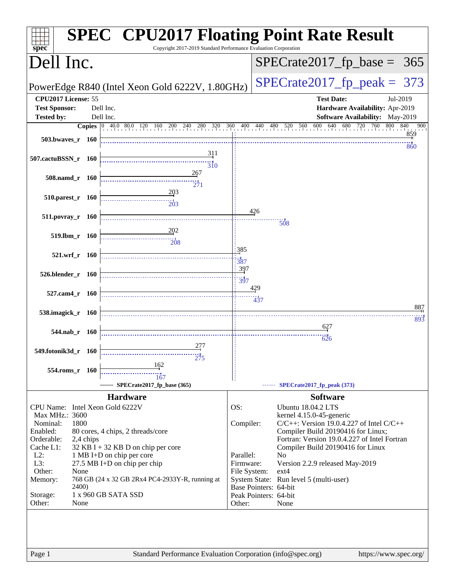| spec <sup>®</sup>               |           | <b>SPEC<sup>®</sup> CPU2017 Floating Point Rate Result</b><br>Copyright 2017-2019 Standard Performance Evaluation Corporation         |                        |                       |                                               |            |
|---------------------------------|-----------|---------------------------------------------------------------------------------------------------------------------------------------|------------------------|-----------------------|-----------------------------------------------|------------|
| Dell Inc.                       |           |                                                                                                                                       |                        |                       | $SPECrate2017_fp\_base = 365$                 |            |
|                                 |           | PowerEdge R840 (Intel Xeon Gold 6222V, 1.80GHz)                                                                                       |                        |                       | $SPECTate2017$ _fp_peak = 373                 |            |
| CPU2017 License: 55             |           |                                                                                                                                       |                        |                       | <b>Test Date:</b>                             | Jul-2019   |
| <b>Test Sponsor:</b>            |           | Dell Inc.                                                                                                                             |                        |                       | Hardware Availability: Apr-2019               |            |
| <b>Tested by:</b>               |           | Dell Inc.                                                                                                                             |                        |                       | <b>Software Availability:</b> May-2019        |            |
|                                 |           | <b>Copies</b> $\begin{bmatrix} 0 & 40.0 & 80.0 & 120 & 160 & 200 & 240 & 280 & 320 & 360 & 400 & 440 & 480 & 520 & 560 \end{bmatrix}$ |                        |                       | 600 640 680 720<br>760 800                    | 840<br>900 |
| 503.bwayes_r 160                |           |                                                                                                                                       |                        |                       |                                               | 859        |
|                                 |           |                                                                                                                                       |                        |                       |                                               | 860        |
| 507.cactuBSSN_r 160             |           | 311                                                                                                                                   |                        |                       |                                               |            |
|                                 |           | $\overline{310}$                                                                                                                      |                        |                       |                                               |            |
| 508.namd_r 160                  |           | 267                                                                                                                                   |                        |                       |                                               |            |
|                                 |           |                                                                                                                                       |                        |                       |                                               |            |
| 510.parest_r 160                |           |                                                                                                                                       |                        |                       |                                               |            |
|                                 |           | $\frac{1}{203}$                                                                                                                       |                        |                       |                                               |            |
| 511.povray_r 160                |           |                                                                                                                                       |                        | 426                   |                                               |            |
|                                 |           |                                                                                                                                       |                        |                       | 508                                           |            |
| 519.lbm_r 160                   |           | 202                                                                                                                                   |                        |                       |                                               |            |
|                                 |           | $\overline{208}$                                                                                                                      |                        |                       |                                               |            |
| 521.wrf_r 160                   |           |                                                                                                                                       | 385                    |                       |                                               |            |
|                                 |           |                                                                                                                                       | 387                    |                       |                                               |            |
| 526.blender_r 160               |           |                                                                                                                                       | 397                    |                       |                                               |            |
|                                 |           |                                                                                                                                       | 397                    |                       |                                               |            |
| 527.cam4_r 160                  |           |                                                                                                                                       |                        | 429                   |                                               |            |
|                                 |           |                                                                                                                                       |                        | $\frac{13}{437}$      |                                               |            |
| 538.imagick_r 160               |           |                                                                                                                                       |                        |                       |                                               | 887        |
|                                 |           |                                                                                                                                       |                        |                       |                                               | 893        |
|                                 |           |                                                                                                                                       |                        |                       |                                               |            |
| 544.nab_r 160                   |           |                                                                                                                                       |                        |                       | 626                                           |            |
|                                 |           |                                                                                                                                       |                        |                       |                                               |            |
| 549.fotonik3d_r 160             |           |                                                                                                                                       |                        |                       |                                               |            |
|                                 |           | 162                                                                                                                                   |                        |                       |                                               |            |
| 554.roms_r 160                  |           | 167                                                                                                                                   |                        |                       |                                               |            |
|                                 |           | SPECrate2017_fp_base (365)                                                                                                            |                        |                       | SPECrate2017_fp_peak (373)                    |            |
|                                 |           | <b>Hardware</b>                                                                                                                       |                        |                       | <b>Software</b>                               |            |
| CPU Name: Intel Xeon Gold 6222V |           |                                                                                                                                       | OS:                    |                       | <b>Ubuntu 18.04.2 LTS</b>                     |            |
| Max MHz.: 3600                  |           |                                                                                                                                       |                        |                       | kernel 4.15.0-45-generic                      |            |
| Nominal:                        | 1800      |                                                                                                                                       | Compiler:              |                       | $C/C++$ : Version 19.0.4.227 of Intel $C/C++$ |            |
| Enabled:                        |           | 80 cores, 4 chips, 2 threads/core                                                                                                     |                        |                       | Compiler Build 20190416 for Linux;            |            |
| Orderable:                      | 2,4 chips |                                                                                                                                       |                        |                       | Fortran: Version 19.0.4.227 of Intel Fortran  |            |
| Cache L1:                       |           | $32$ KB I + 32 KB D on chip per core                                                                                                  |                        |                       | Compiler Build 20190416 for Linux             |            |
| $L2$ :<br>L3:                   |           | 1 MB I+D on chip per core                                                                                                             | Parallel:<br>Firmware: |                       | N <sub>0</sub>                                |            |
| Other:                          | None      | 27.5 MB I+D on chip per chip                                                                                                          | File System:           |                       | Version 2.2.9 released May-2019<br>$ext{4}$   |            |
| Memory:                         |           | 768 GB (24 x 32 GB 2Rx4 PC4-2933Y-R, running at                                                                                       |                        |                       | System State: Run level 5 (multi-user)        |            |
|                                 | 2400)     |                                                                                                                                       |                        | Base Pointers: 64-bit |                                               |            |
| Storage:                        |           | 1 x 960 GB SATA SSD                                                                                                                   |                        | Peak Pointers: 64-bit |                                               |            |
| Other:                          | None      |                                                                                                                                       | Other:                 |                       | None                                          |            |
|                                 |           |                                                                                                                                       |                        |                       |                                               |            |
|                                 |           |                                                                                                                                       |                        |                       |                                               |            |
|                                 |           |                                                                                                                                       |                        |                       |                                               |            |
|                                 |           |                                                                                                                                       |                        |                       |                                               |            |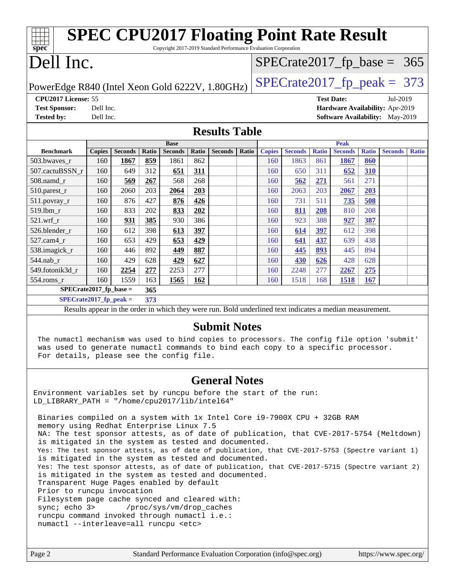| <b>SPEC CPU2017 Floating Point Rate Result</b>                                                                                               |                                                                                              |                |       |                |       |                      |       |                           |                |              |                |              |                                        |              |
|----------------------------------------------------------------------------------------------------------------------------------------------|----------------------------------------------------------------------------------------------|----------------|-------|----------------|-------|----------------------|-------|---------------------------|----------------|--------------|----------------|--------------|----------------------------------------|--------------|
| Copyright 2017-2019 Standard Performance Evaluation Corporation<br>spec <sup>®</sup>                                                         |                                                                                              |                |       |                |       |                      |       |                           |                |              |                |              |                                        |              |
|                                                                                                                                              | Dell Inc.                                                                                    |                |       |                |       |                      |       | $SPECrate2017_fp\_base =$ |                |              |                |              | 365                                    |              |
|                                                                                                                                              |                                                                                              |                |       |                |       |                      |       |                           |                |              |                |              |                                        |              |
|                                                                                                                                              | $SPECTate2017$ _fp_peak = 373<br>PowerEdge R840 (Intel Xeon Gold 6222V, 1.80GHz)             |                |       |                |       |                      |       |                           |                |              |                |              |                                        |              |
| CPU2017 License: 55<br><b>Test Date:</b>                                                                                                     |                                                                                              |                |       |                |       |                      |       | Jul-2019                  |                |              |                |              |                                        |              |
| <b>Test Sponsor:</b>                                                                                                                         | Dell Inc.                                                                                    |                |       |                |       |                      |       |                           |                |              |                |              | Hardware Availability: Apr-2019        |              |
| <b>Tested by:</b>                                                                                                                            | Dell Inc.                                                                                    |                |       |                |       |                      |       |                           |                |              |                |              | <b>Software Availability:</b> May-2019 |              |
|                                                                                                                                              |                                                                                              |                |       |                |       | <b>Results Table</b> |       |                           |                |              |                |              |                                        |              |
|                                                                                                                                              |                                                                                              |                |       | <b>Base</b>    |       |                      |       |                           |                |              | <b>Peak</b>    |              |                                        |              |
| <b>Benchmark</b>                                                                                                                             | <b>Copies</b>                                                                                | <b>Seconds</b> | Ratio | <b>Seconds</b> | Ratio | <b>Seconds</b>       | Ratio | <b>Copies</b>             | <b>Seconds</b> | <b>Ratio</b> | <b>Seconds</b> | <b>Ratio</b> | <b>Seconds</b>                         | <b>Ratio</b> |
| 503.bwaves_r                                                                                                                                 | 160                                                                                          | 1867           | 859   | 1861           | 862   |                      |       | 160                       | 1863           | 861          | 1867           | 860          |                                        |              |
| 507.cactuBSSN_r                                                                                                                              | 160                                                                                          | 649            | 312   | 651            | 311   |                      |       | 160                       | 650            | 311          | 652            | 310          |                                        |              |
| 508.namd_r                                                                                                                                   | 160                                                                                          | 569            | 267   | 568            | 268   |                      |       | 160                       | 562            | 271          | 561            | 271          |                                        |              |
| $510$ .parest_r                                                                                                                              | 160                                                                                          | 2060           | 203   | 2064           | 203   |                      |       | 160                       | 2063           | 203          | 2067           | 203          |                                        |              |
| 511.povray_r                                                                                                                                 | 160                                                                                          | 876            | 427   | 876            | 426   |                      |       | 160                       | 731            | 511          | 735            | 508          |                                        |              |
| 519.1bm_r                                                                                                                                    | 160                                                                                          | 833            | 202   | 833            | 202   |                      |       | 160                       | 811            | 208          | 810            | 208          |                                        |              |
| $521.wrf_r$                                                                                                                                  | 160                                                                                          | 931            | 385   | 930            | 386   |                      |       | 160                       | 923            | 388          | 927            | 387          |                                        |              |
| 526.blender_r                                                                                                                                | 160                                                                                          | 612            | 398   | 613            | 397   |                      |       | 160                       | 614            | 397          | 612            | 398          |                                        |              |
| 527.cam4_r                                                                                                                                   | 160                                                                                          | 653            | 429   | 653            | 429   |                      |       | 160                       | 641            | 437          | 639            | 438          |                                        |              |
| 538.imagick_r                                                                                                                                | 160                                                                                          | 446            | 892   | 449            | 887   |                      |       | 160                       | 445            | 893          | 445            | 894          |                                        |              |
| 544.nab r                                                                                                                                    | 160                                                                                          | 429            | 628   | 429            | 627   |                      |       | 160                       | 430            | 626          | 428            | 628          |                                        |              |
| 549.fotonik3d r                                                                                                                              | 160                                                                                          | 2254           | 277   | 2253           | 277   |                      |       | 160                       | 2248           | 277          | 2267           | 275          |                                        |              |
| $554$ .roms $r$                                                                                                                              | 160                                                                                          | 1559           | 163   | 1565           | 162   |                      |       | 160                       | 1518           | 168          | 1518           | <b>167</b>   |                                        |              |
| $\overline{\text{SPE}}$ Crate2017_fp_base =                                                                                                  |                                                                                              |                | 365   |                |       |                      |       |                           |                |              |                |              |                                        |              |
| $SPECrate2017_fp\_peak =$<br>373<br>Results appear in the order in which they were run. Bold underlined text indicates a median measurement. |                                                                                              |                |       |                |       |                      |       |                           |                |              |                |              |                                        |              |
|                                                                                                                                              |                                                                                              |                |       |                |       |                      |       |                           |                |              |                |              |                                        |              |
| <b>Submit Notes</b>                                                                                                                          |                                                                                              |                |       |                |       |                      |       |                           |                |              |                |              |                                        |              |
|                                                                                                                                              | The numactl mechanism was used to bind copies to processors. The config file option 'submit' |                |       |                |       |                      |       |                           |                |              |                |              |                                        |              |
|                                                                                                                                              | was used to generate numactl commands to bind each copy to a specific processor.             |                |       |                |       |                      |       |                           |                |              |                |              |                                        |              |
| For details, please see the config file.                                                                                                     |                                                                                              |                |       |                |       |                      |       |                           |                |              |                |              |                                        |              |

#### **[General Notes](http://www.spec.org/auto/cpu2017/Docs/result-fields.html#GeneralNotes)**

Environment variables set by runcpu before the start of the run: LD LIBRARY PATH = "/home/cpu2017/lib/intel64"

 Binaries compiled on a system with 1x Intel Core i9-7900X CPU + 32GB RAM memory using Redhat Enterprise Linux 7.5 NA: The test sponsor attests, as of date of publication, that CVE-2017-5754 (Meltdown) is mitigated in the system as tested and documented. Yes: The test sponsor attests, as of date of publication, that CVE-2017-5753 (Spectre variant 1) is mitigated in the system as tested and documented. Yes: The test sponsor attests, as of date of publication, that CVE-2017-5715 (Spectre variant 2) is mitigated in the system as tested and documented. Transparent Huge Pages enabled by default Prior to runcpu invocation Filesystem page cache synced and cleared with: sync; echo 3> /proc/sys/vm/drop\_caches runcpu command invoked through numactl i.e.: numactl --interleave=all runcpu <etc>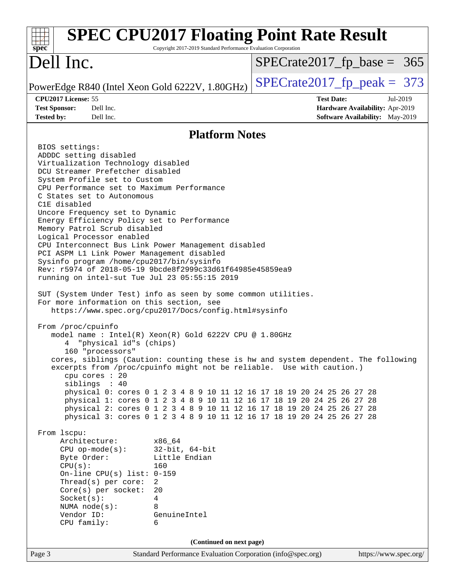| Copyright 2017-2019 Standard Performance Evaluation Corporation<br>spec <sup>®</sup>                                                                                                                                                                                                                                                                                                                                                                                                                                                                                                                                                                                                                                                                                                                                                                                                                                                                                                                                                                                                                                                                                                                                                                                                                                                                                                                                                                                                                                                                                                                                                                                                                                                      | <b>SPEC CPU2017 Floating Point Rate Result</b>                                                             |
|-------------------------------------------------------------------------------------------------------------------------------------------------------------------------------------------------------------------------------------------------------------------------------------------------------------------------------------------------------------------------------------------------------------------------------------------------------------------------------------------------------------------------------------------------------------------------------------------------------------------------------------------------------------------------------------------------------------------------------------------------------------------------------------------------------------------------------------------------------------------------------------------------------------------------------------------------------------------------------------------------------------------------------------------------------------------------------------------------------------------------------------------------------------------------------------------------------------------------------------------------------------------------------------------------------------------------------------------------------------------------------------------------------------------------------------------------------------------------------------------------------------------------------------------------------------------------------------------------------------------------------------------------------------------------------------------------------------------------------------------|------------------------------------------------------------------------------------------------------------|
| Dell Inc.                                                                                                                                                                                                                                                                                                                                                                                                                                                                                                                                                                                                                                                                                                                                                                                                                                                                                                                                                                                                                                                                                                                                                                                                                                                                                                                                                                                                                                                                                                                                                                                                                                                                                                                                 | $SPECrate2017_fp\_base = 365$                                                                              |
| PowerEdge R840 (Intel Xeon Gold 6222V, 1.80GHz)                                                                                                                                                                                                                                                                                                                                                                                                                                                                                                                                                                                                                                                                                                                                                                                                                                                                                                                                                                                                                                                                                                                                                                                                                                                                                                                                                                                                                                                                                                                                                                                                                                                                                           | $SPECTate2017$ _fp_peak = 373                                                                              |
| CPU2017 License: 55<br><b>Test Sponsor:</b><br>Dell Inc.<br><b>Tested by:</b><br>Dell Inc.                                                                                                                                                                                                                                                                                                                                                                                                                                                                                                                                                                                                                                                                                                                                                                                                                                                                                                                                                                                                                                                                                                                                                                                                                                                                                                                                                                                                                                                                                                                                                                                                                                                | <b>Test Date:</b><br>Jul-2019<br>Hardware Availability: Apr-2019<br><b>Software Availability:</b> May-2019 |
|                                                                                                                                                                                                                                                                                                                                                                                                                                                                                                                                                                                                                                                                                                                                                                                                                                                                                                                                                                                                                                                                                                                                                                                                                                                                                                                                                                                                                                                                                                                                                                                                                                                                                                                                           | <b>Platform Notes</b>                                                                                      |
| BIOS settings:<br>ADDDC setting disabled<br>Virtualization Technology disabled<br>DCU Streamer Prefetcher disabled<br>System Profile set to Custom<br>CPU Performance set to Maximum Performance<br>C States set to Autonomous<br>C1E disabled<br>Uncore Frequency set to Dynamic<br>Energy Efficiency Policy set to Performance<br>Memory Patrol Scrub disabled<br>Logical Processor enabled<br>CPU Interconnect Bus Link Power Management disabled<br>PCI ASPM L1 Link Power Management disabled<br>Sysinfo program /home/cpu2017/bin/sysinfo<br>Rev: r5974 of 2018-05-19 9bcde8f2999c33d61f64985e45859ea9<br>running on intel-sut Tue Jul 23 05:55:15 2019<br>SUT (System Under Test) info as seen by some common utilities.<br>For more information on this section, see<br>https://www.spec.org/cpu2017/Docs/config.html#sysinfo<br>From /proc/cpuinfo<br>model name: $Intel(R)$ Xeon $(R)$ Gold 6222V CPU @ 1.80GHz<br>"physical id"s (chips)<br>160 "processors"<br>excerpts from /proc/cpuinfo might not be reliable. Use with caution.)<br>cpu cores : 20<br>siblings : 40<br>physical 0: cores 0 1 2 3 4 8 9 10 11 12 16 17 18 19 20 24 25 26 27 28<br>physical 1: cores 0 1 2 3 4 8 9 10 11 12 16 17 18 19 20 24 25 26 27 28<br>physical 2: cores 0 1 2 3 4 8 9 10 11 12 16 17 18 19 20 24 25 26 27 28<br>physical 3: cores 0 1 2 3 4 8 9 10 11 12 16 17 18 19 20 24 25 26 27 28<br>From 1scpu:<br>Architecture:<br>x86_64<br>$CPU$ op-mode(s):<br>$32$ -bit, $64$ -bit<br>Little Endian<br>Byte Order:<br>CPU(s):<br>160<br>On-line CPU(s) list: $0-159$<br>Thread(s) per core:<br>2<br>$Core(s)$ per socket:<br>20<br>Socket(s):<br>$\overline{4}$<br>8<br>NUMA $node(s):$<br>Vendor ID:<br>GenuineIntel<br>CPU family:<br>6 | cores, siblings (Caution: counting these is hw and system dependent. The following                         |
|                                                                                                                                                                                                                                                                                                                                                                                                                                                                                                                                                                                                                                                                                                                                                                                                                                                                                                                                                                                                                                                                                                                                                                                                                                                                                                                                                                                                                                                                                                                                                                                                                                                                                                                                           | (Continued on next page)                                                                                   |
| Page 3                                                                                                                                                                                                                                                                                                                                                                                                                                                                                                                                                                                                                                                                                                                                                                                                                                                                                                                                                                                                                                                                                                                                                                                                                                                                                                                                                                                                                                                                                                                                                                                                                                                                                                                                    | Standard Performance Evaluation Corporation (info@spec.org)<br>https://www.spec.org/                       |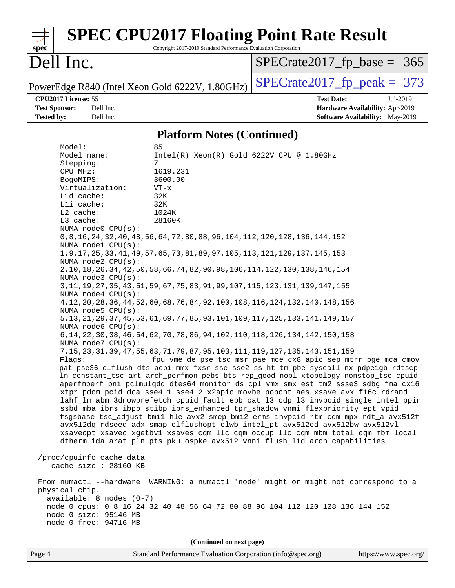| <b>SPEC CPU2017 Floating Point Rate Result</b><br>Copyright 2017-2019 Standard Performance Evaluation Corporation<br>$spec^*$                                                                                                                                                                                                                                                                                                                                                                                                                                                                                                                                                                                                                                                                                                                                                                                                                                                                                                                                                                                                                                                                                                                                                                                                                                                                                                                                                                                                                                                                                                                                                                                                                                                                                                                                                                                                                                                                                                                                                                                                                                                                                                                                                                                                                                                                                                                                                            |                                                                                                            |
|------------------------------------------------------------------------------------------------------------------------------------------------------------------------------------------------------------------------------------------------------------------------------------------------------------------------------------------------------------------------------------------------------------------------------------------------------------------------------------------------------------------------------------------------------------------------------------------------------------------------------------------------------------------------------------------------------------------------------------------------------------------------------------------------------------------------------------------------------------------------------------------------------------------------------------------------------------------------------------------------------------------------------------------------------------------------------------------------------------------------------------------------------------------------------------------------------------------------------------------------------------------------------------------------------------------------------------------------------------------------------------------------------------------------------------------------------------------------------------------------------------------------------------------------------------------------------------------------------------------------------------------------------------------------------------------------------------------------------------------------------------------------------------------------------------------------------------------------------------------------------------------------------------------------------------------------------------------------------------------------------------------------------------------------------------------------------------------------------------------------------------------------------------------------------------------------------------------------------------------------------------------------------------------------------------------------------------------------------------------------------------------------------------------------------------------------------------------------------------------|------------------------------------------------------------------------------------------------------------|
| Dell Inc.                                                                                                                                                                                                                                                                                                                                                                                                                                                                                                                                                                                                                                                                                                                                                                                                                                                                                                                                                                                                                                                                                                                                                                                                                                                                                                                                                                                                                                                                                                                                                                                                                                                                                                                                                                                                                                                                                                                                                                                                                                                                                                                                                                                                                                                                                                                                                                                                                                                                                | $SPECrate2017_fp\_base = 365$                                                                              |
| PowerEdge R840 (Intel Xeon Gold 6222V, 1.80GHz)                                                                                                                                                                                                                                                                                                                                                                                                                                                                                                                                                                                                                                                                                                                                                                                                                                                                                                                                                                                                                                                                                                                                                                                                                                                                                                                                                                                                                                                                                                                                                                                                                                                                                                                                                                                                                                                                                                                                                                                                                                                                                                                                                                                                                                                                                                                                                                                                                                          | $SPECTate2017$ _fp_peak = 373                                                                              |
| CPU2017 License: 55<br><b>Test Sponsor:</b><br>Dell Inc.<br><b>Tested by:</b><br>Dell Inc.                                                                                                                                                                                                                                                                                                                                                                                                                                                                                                                                                                                                                                                                                                                                                                                                                                                                                                                                                                                                                                                                                                                                                                                                                                                                                                                                                                                                                                                                                                                                                                                                                                                                                                                                                                                                                                                                                                                                                                                                                                                                                                                                                                                                                                                                                                                                                                                               | <b>Test Date:</b><br>Jul-2019<br>Hardware Availability: Apr-2019<br><b>Software Availability:</b> May-2019 |
| <b>Platform Notes (Continued)</b>                                                                                                                                                                                                                                                                                                                                                                                                                                                                                                                                                                                                                                                                                                                                                                                                                                                                                                                                                                                                                                                                                                                                                                                                                                                                                                                                                                                                                                                                                                                                                                                                                                                                                                                                                                                                                                                                                                                                                                                                                                                                                                                                                                                                                                                                                                                                                                                                                                                        |                                                                                                            |
| 85<br>Model:<br>Intel(R) Xeon(R) Gold 6222V CPU @ 1.80GHz<br>Model name:<br>7<br>Stepping:<br>CPU MHz:<br>1619.231<br>BogoMIPS:<br>3600.00<br>Virtualization:<br>$VT - x$<br>Lld cache:<br>32K<br>Lli cache:<br>32K<br>L2 cache:<br>1024K<br>L3 cache:<br>28160K<br>NUMA node0 CPU(s):<br>0, 8, 16, 24, 32, 40, 48, 56, 64, 72, 80, 88, 96, 104, 112, 120, 128, 136, 144, 152<br>NUMA nodel CPU(s):<br>1, 9, 17, 25, 33, 41, 49, 57, 65, 73, 81, 89, 97, 105, 113, 121, 129, 137, 145, 153<br>NUMA node2 CPU(s):<br>2, 10, 18, 26, 34, 42, 50, 58, 66, 74, 82, 90, 98, 106, 114, 122, 130, 138, 146, 154<br>NUMA node3 CPU(s):<br>3, 11, 19, 27, 35, 43, 51, 59, 67, 75, 83, 91, 99, 107, 115, 123, 131, 139, 147, 155<br>NUMA node4 CPU(s):<br>4, 12, 20, 28, 36, 44, 52, 60, 68, 76, 84, 92, 100, 108, 116, 124, 132, 140, 148, 156<br>NUMA node5 CPU(s):<br>5, 13, 21, 29, 37, 45, 53, 61, 69, 77, 85, 93, 101, 109, 117, 125, 133, 141, 149, 157<br>NUMA node6 CPU(s):<br>6, 14, 22, 30, 38, 46, 54, 62, 70, 78, 86, 94, 102, 110, 118, 126, 134, 142, 150, 158<br>NUMA node7 CPU(s):<br>7, 15, 23, 31, 39, 47, 55, 63, 71, 79, 87, 95, 103, 111, 119, 127, 135, 143, 151, 159<br>Flags: fpu vme de pse tsc msr pae mce cx8 apic sep mtrr pge mca cmov<br>pat pse36 clflush dts acpi mmx fxsr sse sse2 ss ht tm pbe syscall nx pdpelgb rdtscp<br>lm constant_tsc art arch_perfmon pebs bts rep_good nopl xtopology nonstop_tsc cpuid<br>aperfmperf pni pclmulqdq dtes64 monitor ds_cpl vmx smx est tm2 ssse3 sdbg fma cx16<br>xtpr pdcm pcid dca sse4_1 sse4_2 x2apic movbe popcnt aes xsave avx f16c rdrand<br>lahf_lm abm 3dnowprefetch cpuid_fault epb cat_13 cdp_13 invpcid_single intel_ppin<br>ssbd mba ibrs ibpb stibp ibrs_enhanced tpr_shadow vnmi flexpriority ept vpid<br>fsgsbase tsc_adjust bmil hle avx2 smep bmi2 erms invpcid rtm cqm mpx rdt_a avx512f<br>avx512dq rdseed adx smap clflushopt clwb intel_pt avx512cd avx512bw avx512vl<br>xsaveopt xsavec xgetbvl xsaves cqm_llc cqm_occup_llc cqm_mbm_total cqm_mbm_local<br>dtherm ida arat pln pts pku ospke avx512_vnni flush_l1d arch_capabilities<br>/proc/cpuinfo cache data<br>cache size : 28160 KB<br>From numactl --hardware WARNING: a numactl 'node' might or might not correspond to a<br>physical chip.<br>$available: 8 nodes (0-7)$<br>node 0 cpus: 0 8 16 24 32 40 48 56 64 72 80 88 96 104 112 120 128 136 144 152<br>node 0 size: 95146 MB<br>node 0 free: 94716 MB<br>(Continued on next page) |                                                                                                            |
| Page 4<br>Standard Performance Evaluation Corporation (info@spec.org)                                                                                                                                                                                                                                                                                                                                                                                                                                                                                                                                                                                                                                                                                                                                                                                                                                                                                                                                                                                                                                                                                                                                                                                                                                                                                                                                                                                                                                                                                                                                                                                                                                                                                                                                                                                                                                                                                                                                                                                                                                                                                                                                                                                                                                                                                                                                                                                                                    | https://www.spec.org/                                                                                      |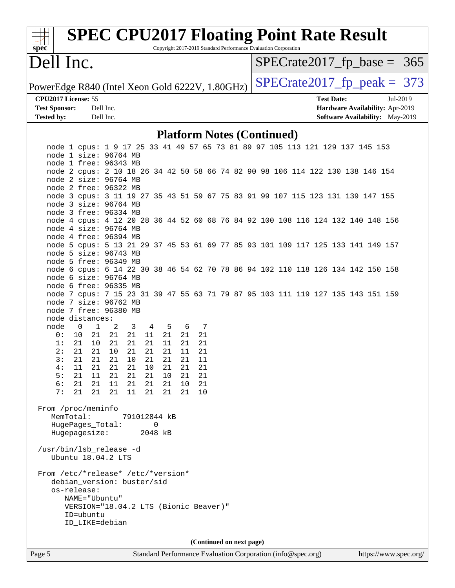| s<br>Dе<br>U |  |  |  |  |  |  |
|--------------|--|--|--|--|--|--|

# **[SPEC CPU2017 Floating Point Rate Result](http://www.spec.org/auto/cpu2017/Docs/result-fields.html#SPECCPU2017FloatingPointRateResult)**

Copyright 2017-2019 Standard Performance Evaluation Corporation

## Dell Inc.

 $SPECTate2017_fp\_base = 365$ 

PowerEdge R840 (Intel Xeon Gold 6222V, 1.80GHz)  $\left|$  [SPECrate2017\\_fp\\_peak =](http://www.spec.org/auto/cpu2017/Docs/result-fields.html#SPECrate2017fppeak) 373

**[CPU2017 License:](http://www.spec.org/auto/cpu2017/Docs/result-fields.html#CPU2017License)** 55 **[Test Date:](http://www.spec.org/auto/cpu2017/Docs/result-fields.html#TestDate)** Jul-2019

**[Test Sponsor:](http://www.spec.org/auto/cpu2017/Docs/result-fields.html#TestSponsor)** Dell Inc. **[Hardware Availability:](http://www.spec.org/auto/cpu2017/Docs/result-fields.html#HardwareAvailability)** Apr-2019 **[Tested by:](http://www.spec.org/auto/cpu2017/Docs/result-fields.html#Testedby)** Dell Inc. **[Software Availability:](http://www.spec.org/auto/cpu2017/Docs/result-fields.html#SoftwareAvailability)** May-2019

#### **[Platform Notes \(Continued\)](http://www.spec.org/auto/cpu2017/Docs/result-fields.html#PlatformNotes)**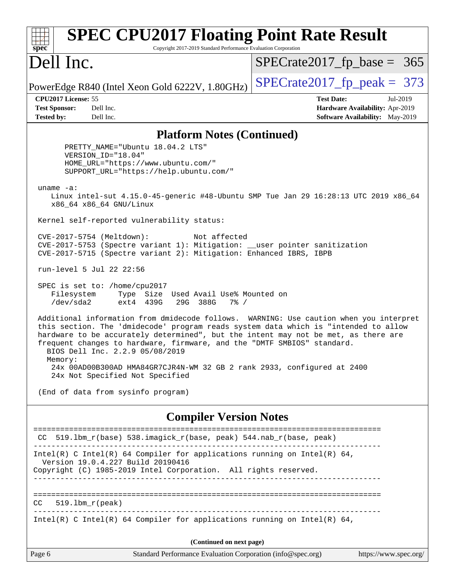| $spec^*$                                                         | <b>SPEC CPU2017 Floating Point Rate Result</b><br>Copyright 2017-2019 Standard Performance Evaluation Corporation                                                                                                                                                                                                                                                                 |                                   |                                                                                |  |  |
|------------------------------------------------------------------|-----------------------------------------------------------------------------------------------------------------------------------------------------------------------------------------------------------------------------------------------------------------------------------------------------------------------------------------------------------------------------------|-----------------------------------|--------------------------------------------------------------------------------|--|--|
| Dell Inc.                                                        |                                                                                                                                                                                                                                                                                                                                                                                   | $SPECrate2017_fp\_base = 365$     |                                                                                |  |  |
|                                                                  | PowerEdge R840 (Intel Xeon Gold 6222V, 1.80GHz)                                                                                                                                                                                                                                                                                                                                   | $SPECrate2017fp peak = 373$       |                                                                                |  |  |
| CPU2017 License: 55<br><b>Test Sponsor:</b><br><b>Tested by:</b> | Dell Inc.<br>Dell Inc.                                                                                                                                                                                                                                                                                                                                                            | <b>Test Date:</b>                 | Jul-2019<br>Hardware Availability: Apr-2019<br>Software Availability: May-2019 |  |  |
|                                                                  | <b>Platform Notes (Continued)</b>                                                                                                                                                                                                                                                                                                                                                 |                                   |                                                                                |  |  |
|                                                                  | PRETTY_NAME="Ubuntu 18.04.2 LTS"<br>VERSION_ID="18.04"<br>HOME_URL="https://www.ubuntu.com/"<br>SUPPORT_URL="https://help.ubuntu.com/"                                                                                                                                                                                                                                            |                                   |                                                                                |  |  |
| uname $-a$ :                                                     | Linux intel-sut 4.15.0-45-generic #48-Ubuntu SMP Tue Jan 29 16:28:13 UTC 2019 x86_64<br>x86_64 x86_64 GNU/Linux                                                                                                                                                                                                                                                                   |                                   |                                                                                |  |  |
|                                                                  | Kernel self-reported vulnerability status:                                                                                                                                                                                                                                                                                                                                        |                                   |                                                                                |  |  |
|                                                                  | CVE-2017-5754 (Meltdown):<br>Not affected<br>CVE-2017-5753 (Spectre variant 1): Mitigation: __user pointer sanitization<br>CVE-2017-5715 (Spectre variant 2): Mitigation: Enhanced IBRS, IBPB                                                                                                                                                                                     |                                   |                                                                                |  |  |
|                                                                  | run-level 5 Jul 22 22:56                                                                                                                                                                                                                                                                                                                                                          |                                   |                                                                                |  |  |
| Filesystem<br>/dev/sda2                                          | SPEC is set to: /home/cpu2017<br>Type Size Used Avail Use% Mounted on<br>ext4 439G<br>29G 388G<br>$7\%$ /                                                                                                                                                                                                                                                                         |                                   |                                                                                |  |  |
| Memory:                                                          | Additional information from dmidecode follows. WARNING: Use caution when you interpret<br>this section. The 'dmidecode' program reads system data which is "intended to allow<br>hardware to be accurately determined", but the intent may not be met, as there are<br>frequent changes to hardware, firmware, and the "DMTF SMBIOS" standard.<br>BIOS Dell Inc. 2.2.9 05/08/2019 |                                   |                                                                                |  |  |
|                                                                  | 24x 00AD00B300AD HMA84GR7CJR4N-WM 32 GB 2 rank 2933, configured at 2400<br>24x Not Specified Not Specified                                                                                                                                                                                                                                                                        |                                   |                                                                                |  |  |
|                                                                  | (End of data from sysinfo program)                                                                                                                                                                                                                                                                                                                                                |                                   |                                                                                |  |  |
|                                                                  | <b>Compiler Version Notes</b>                                                                                                                                                                                                                                                                                                                                                     |                                   |                                                                                |  |  |
| CC.                                                              | 519.1bm_r(base) 538.imagick_r(base, peak) 544.nab_r(base, peak)                                                                                                                                                                                                                                                                                                                   |                                   |                                                                                |  |  |
|                                                                  | Intel(R) C Intel(R) 64 Compiler for applications running on Intel(R) 64,<br>Version 19.0.4.227 Build 20190416<br>Copyright (C) 1985-2019 Intel Corporation. All rights reserved.                                                                                                                                                                                                  |                                   |                                                                                |  |  |
| CC                                                               | $519.1bm_r(peak)$                                                                                                                                                                                                                                                                                                                                                                 | _________________________________ |                                                                                |  |  |
|                                                                  | Intel(R) C Intel(R) 64 Compiler for applications running on Intel(R) 64,                                                                                                                                                                                                                                                                                                          |                                   |                                                                                |  |  |
|                                                                  | (Continued on next page)                                                                                                                                                                                                                                                                                                                                                          |                                   |                                                                                |  |  |
| Page 6                                                           | Standard Performance Evaluation Corporation (info@spec.org)                                                                                                                                                                                                                                                                                                                       |                                   | https://www.spec.org/                                                          |  |  |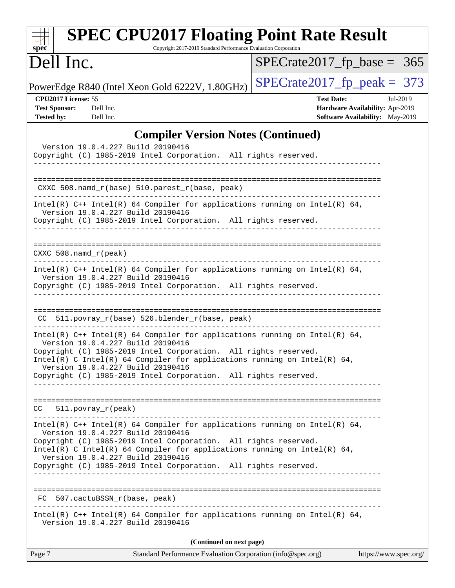| <b>SPEC CPU2017 Floating Point Rate Result</b><br>Copyright 2017-2019 Standard Performance Evaluation Corporation<br>$s\overline{p}\overline{e}\overline{c}$                                                                                                                                          |                                                                                                            |
|-------------------------------------------------------------------------------------------------------------------------------------------------------------------------------------------------------------------------------------------------------------------------------------------------------|------------------------------------------------------------------------------------------------------------|
| Dell Inc.                                                                                                                                                                                                                                                                                             | $SPECrate2017_fp\_base = 365$                                                                              |
| PowerEdge R840 (Intel Xeon Gold 6222V, 1.80GHz)                                                                                                                                                                                                                                                       | $SPECTate2017$ _fp_peak = 373                                                                              |
| CPU2017 License: 55<br><b>Test Sponsor:</b><br>Dell Inc.<br><b>Tested by:</b><br>Dell Inc.                                                                                                                                                                                                            | <b>Test Date:</b><br>Jul-2019<br>Hardware Availability: Apr-2019<br><b>Software Availability:</b> May-2019 |
| <b>Compiler Version Notes (Continued)</b>                                                                                                                                                                                                                                                             |                                                                                                            |
| Version 19.0.4.227 Build 20190416<br>Copyright (C) 1985-2019 Intel Corporation. All rights reserved.<br>_____________________                                                                                                                                                                         |                                                                                                            |
| CXXC 508.namd_r(base) 510.parest_r(base, peak)<br>-------------------------------------                                                                                                                                                                                                               |                                                                                                            |
| Intel(R) $C++$ Intel(R) 64 Compiler for applications running on Intel(R) 64,<br>Version 19.0.4.227 Build 20190416<br>Copyright (C) 1985-2019 Intel Corporation. All rights reserved.                                                                                                                  |                                                                                                            |
| $CXXC 508.namd_r (peak)$                                                                                                                                                                                                                                                                              |                                                                                                            |
| Intel(R) $C++$ Intel(R) 64 Compiler for applications running on Intel(R) 64,<br>Version 19.0.4.227 Build 20190416<br>Copyright (C) 1985-2019 Intel Corporation. All rights reserved.                                                                                                                  |                                                                                                            |
| CC 511.povray_r(base) 526.blender_r(base, peak)                                                                                                                                                                                                                                                       |                                                                                                            |
| Intel(R) $C++$ Intel(R) 64 Compiler for applications running on Intel(R) 64,<br>Version 19.0.4.227 Build 20190416<br>Copyright (C) 1985-2019 Intel Corporation. All rights reserved.<br>Intel(R) C Intel(R) 64 Compiler for applications running on Intel(R) 64,<br>Version 19.0.4.227 Build 20190416 |                                                                                                            |
| Copyright (C) 1985-2019 Intel Corporation. All rights reserved.                                                                                                                                                                                                                                       |                                                                                                            |
| $CC = 511.$ povray $r(\text{peak})$                                                                                                                                                                                                                                                                   |                                                                                                            |
| Intel(R) C++ Intel(R) 64 Compiler for applications running on Intel(R) 64,<br>Version 19.0.4.227 Build 20190416<br>Copyright (C) 1985-2019 Intel Corporation. All rights reserved.                                                                                                                    |                                                                                                            |
| Intel(R) C Intel(R) 64 Compiler for applications running on Intel(R) 64,<br>Version 19.0.4.227 Build 20190416<br>Copyright (C) 1985-2019 Intel Corporation. All rights reserved.                                                                                                                      |                                                                                                            |
| FC 507.cactuBSSN_r(base, peak)                                                                                                                                                                                                                                                                        |                                                                                                            |
| Intel(R) $C++$ Intel(R) 64 Compiler for applications running on Intel(R) 64,<br>Version 19.0.4.227 Build 20190416                                                                                                                                                                                     |                                                                                                            |
| (Continued on next page)                                                                                                                                                                                                                                                                              |                                                                                                            |
| Page 7<br>Standard Performance Evaluation Corporation (info@spec.org)                                                                                                                                                                                                                                 | https://www.spec.org/                                                                                      |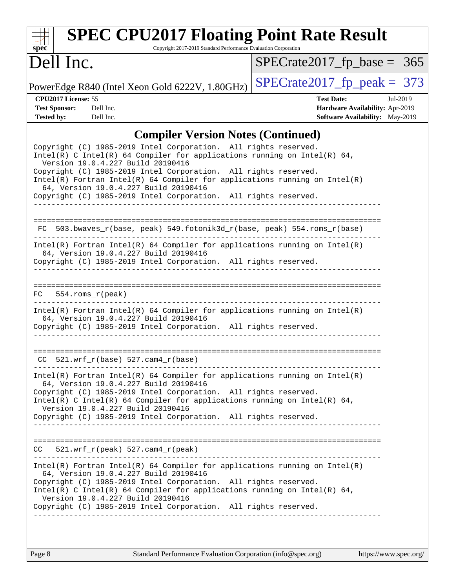

## **[SPEC CPU2017 Floating Point Rate Result](http://www.spec.org/auto/cpu2017/Docs/result-fields.html#SPECCPU2017FloatingPointRateResult)**

Copyright 2017-2019 Standard Performance Evaluation Corporation

## Dell Inc.

[SPECrate2017\\_fp\\_base =](http://www.spec.org/auto/cpu2017/Docs/result-fields.html#SPECrate2017fpbase) 365

PowerEdge R840 (Intel Xeon Gold 6222V, 1.80GHz)  $\left|$  [SPECrate2017\\_fp\\_peak =](http://www.spec.org/auto/cpu2017/Docs/result-fields.html#SPECrate2017fppeak) 373

**[CPU2017 License:](http://www.spec.org/auto/cpu2017/Docs/result-fields.html#CPU2017License)** 55 **[Test Date:](http://www.spec.org/auto/cpu2017/Docs/result-fields.html#TestDate)** Jul-2019 **[Test Sponsor:](http://www.spec.org/auto/cpu2017/Docs/result-fields.html#TestSponsor)** Dell Inc. **[Hardware Availability:](http://www.spec.org/auto/cpu2017/Docs/result-fields.html#HardwareAvailability)** Apr-2019 **[Tested by:](http://www.spec.org/auto/cpu2017/Docs/result-fields.html#Testedby)** Dell Inc. Dell Inc. **[Software Availability:](http://www.spec.org/auto/cpu2017/Docs/result-fields.html#SoftwareAvailability)** May-2019

#### **[Compiler Version Notes \(Continued\)](http://www.spec.org/auto/cpu2017/Docs/result-fields.html#CompilerVersionNotes)**

| Copyright (C) 1985-2019 Intel Corporation. All rights reserved.<br>$Intel(R)$ C Intel(R) 64 Compiler for applications running on Intel(R) 64,<br>Version 19.0.4.227 Build 20190416<br>Copyright (C) 1985-2019 Intel Corporation. All rights reserved.<br>$Intel(R)$ Fortran Intel(R) 64 Compiler for applications running on Intel(R)<br>64, Version 19.0.4.227 Build 20190416<br>Copyright (C) 1985-2019 Intel Corporation. All rights reserved. |
|---------------------------------------------------------------------------------------------------------------------------------------------------------------------------------------------------------------------------------------------------------------------------------------------------------------------------------------------------------------------------------------------------------------------------------------------------|
| FC 503.bwaves_r(base, peak) 549.fotonik3d_r(base, peak) 554.roms_r(base)<br>. _ _ _ _ _ _ _ _ _ _ _ _ _ _ _ _                                                                                                                                                                                                                                                                                                                                     |
| $Intel(R)$ Fortran Intel(R) 64 Compiler for applications running on Intel(R)<br>64, Version 19.0.4.227 Build 20190416<br>Copyright (C) 1985-2019 Intel Corporation. All rights reserved.<br>________________________                                                                                                                                                                                                                              |
| $FC$ 554. $roms_r(peak)$                                                                                                                                                                                                                                                                                                                                                                                                                          |
| $Intel(R)$ Fortran Intel(R) 64 Compiler for applications running on Intel(R)<br>64, Version 19.0.4.227 Build 20190416<br>Copyright (C) 1985-2019 Intel Corporation. All rights reserved.                                                                                                                                                                                                                                                          |
| $CC$ 521.wrf $r(base)$ 527.cam4 $r(base)$                                                                                                                                                                                                                                                                                                                                                                                                         |
| $Intel(R)$ Fortran Intel(R) 64 Compiler for applications running on Intel(R)<br>64, Version 19.0.4.227 Build 20190416<br>Copyright (C) 1985-2019 Intel Corporation. All rights reserved.<br>$Intel(R)$ C Intel(R) 64 Compiler for applications running on Intel(R) 64,<br>Version 19.0.4.227 Build 20190416<br>Copyright (C) 1985-2019 Intel Corporation. All rights reserved.                                                                    |
| 521.wrf_r(peak) 527.cam4_r(peak)<br>CC                                                                                                                                                                                                                                                                                                                                                                                                            |
| $Intel(R)$ Fortran Intel(R) 64 Compiler for applications running on Intel(R)<br>64, Version 19.0.4.227 Build 20190416<br>Copyright (C) 1985-2019 Intel Corporation. All rights reserved.<br>$Intel(R)$ C Intel(R) 64 Compiler for applications running on Intel(R) 64,<br>Version 19.0.4.227 Build 20190416<br>Copyright (C) 1985-2019 Intel Corporation. All rights reserved.                                                                    |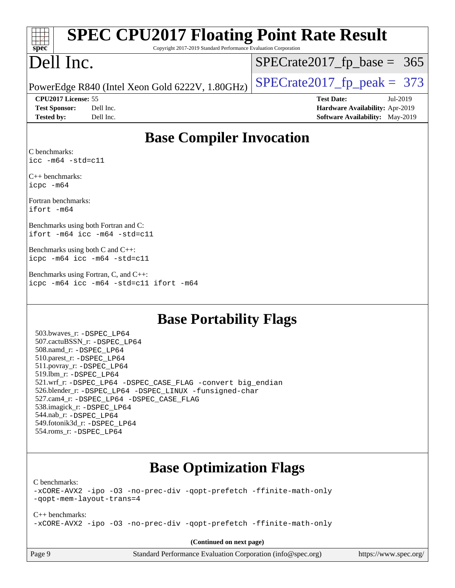| <b>SPEC CPU2017 Floating Point Rate Result</b>                                              |                                        |  |  |  |  |
|---------------------------------------------------------------------------------------------|----------------------------------------|--|--|--|--|
| spec<br>Copyright 2017-2019 Standard Performance Evaluation Corporation                     |                                        |  |  |  |  |
| Dell Inc.                                                                                   | $SPECrate2017fp base =$<br>365         |  |  |  |  |
| PowerEdge R840 (Intel Xeon Gold 6222V, 1.80GHz)                                             | $SPECTate2017$ _fp_peak = 373          |  |  |  |  |
| CPU2017 License: 55                                                                         | <b>Test Date:</b><br>Jul-2019          |  |  |  |  |
| <b>Test Sponsor:</b><br>Dell Inc.                                                           | Hardware Availability: Apr-2019        |  |  |  |  |
| Dell Inc.<br><b>Tested by:</b>                                                              | <b>Software Availability:</b> May-2019 |  |  |  |  |
| <b>Base Compiler Invocation</b>                                                             |                                        |  |  |  |  |
| C benchmarks:<br>$\texttt{icc -m64 -std=cl1}$                                               |                                        |  |  |  |  |
| $C_{++}$ benchmarks:<br>icpc -m64                                                           |                                        |  |  |  |  |
| Fortran benchmarks:<br>ifort -m64                                                           |                                        |  |  |  |  |
| Benchmarks using both Fortran and C:<br>ifort -m64 icc -m64 -std=c11                        |                                        |  |  |  |  |
| Benchmarks using both C and C++:<br>icpc -m64 icc -m64 -std=c11                             |                                        |  |  |  |  |
| Benchmarks using Fortran, C, and C++:<br>icpc -m64 icc -m64 -std=c11 ifort -m64             |                                        |  |  |  |  |
| <b>Base Portability Flags</b><br>503.bwaves_r: -DSPEC LP64<br>507.cactuBSSN_r: - DSPEC_LP64 |                                        |  |  |  |  |
| 508.namd r: -DSPEC LP64                                                                     |                                        |  |  |  |  |

## **[Base Optimization Flags](http://www.spec.org/auto/cpu2017/Docs/result-fields.html#BaseOptimizationFlags)**

[C benchmarks](http://www.spec.org/auto/cpu2017/Docs/result-fields.html#Cbenchmarks):

 510.parest\_r: [-DSPEC\\_LP64](http://www.spec.org/cpu2017/results/res2019q3/cpu2017-20190805-16493.flags.html#suite_basePORTABILITY510_parest_r_DSPEC_LP64) 511.povray\_r: [-DSPEC\\_LP64](http://www.spec.org/cpu2017/results/res2019q3/cpu2017-20190805-16493.flags.html#suite_basePORTABILITY511_povray_r_DSPEC_LP64) 519.lbm\_r: [-DSPEC\\_LP64](http://www.spec.org/cpu2017/results/res2019q3/cpu2017-20190805-16493.flags.html#suite_basePORTABILITY519_lbm_r_DSPEC_LP64)

 538.imagick\_r: [-DSPEC\\_LP64](http://www.spec.org/cpu2017/results/res2019q3/cpu2017-20190805-16493.flags.html#suite_basePORTABILITY538_imagick_r_DSPEC_LP64) 544.nab\_r: [-DSPEC\\_LP64](http://www.spec.org/cpu2017/results/res2019q3/cpu2017-20190805-16493.flags.html#suite_basePORTABILITY544_nab_r_DSPEC_LP64) 549.fotonik3d\_r: [-DSPEC\\_LP64](http://www.spec.org/cpu2017/results/res2019q3/cpu2017-20190805-16493.flags.html#suite_basePORTABILITY549_fotonik3d_r_DSPEC_LP64) 554.roms\_r: [-DSPEC\\_LP64](http://www.spec.org/cpu2017/results/res2019q3/cpu2017-20190805-16493.flags.html#suite_basePORTABILITY554_roms_r_DSPEC_LP64)

[-xCORE-AVX2](http://www.spec.org/cpu2017/results/res2019q3/cpu2017-20190805-16493.flags.html#user_CCbase_f-xCORE-AVX2) [-ipo](http://www.spec.org/cpu2017/results/res2019q3/cpu2017-20190805-16493.flags.html#user_CCbase_f-ipo) [-O3](http://www.spec.org/cpu2017/results/res2019q3/cpu2017-20190805-16493.flags.html#user_CCbase_f-O3) [-no-prec-div](http://www.spec.org/cpu2017/results/res2019q3/cpu2017-20190805-16493.flags.html#user_CCbase_f-no-prec-div) [-qopt-prefetch](http://www.spec.org/cpu2017/results/res2019q3/cpu2017-20190805-16493.flags.html#user_CCbase_f-qopt-prefetch) [-ffinite-math-only](http://www.spec.org/cpu2017/results/res2019q3/cpu2017-20190805-16493.flags.html#user_CCbase_f_finite_math_only_cb91587bd2077682c4b38af759c288ed7c732db004271a9512da14a4f8007909a5f1427ecbf1a0fb78ff2a814402c6114ac565ca162485bbcae155b5e4258871) [-qopt-mem-layout-trans=4](http://www.spec.org/cpu2017/results/res2019q3/cpu2017-20190805-16493.flags.html#user_CCbase_f-qopt-mem-layout-trans_fa39e755916c150a61361b7846f310bcdf6f04e385ef281cadf3647acec3f0ae266d1a1d22d972a7087a248fd4e6ca390a3634700869573d231a252c784941a8)

 521.wrf\_r: [-DSPEC\\_LP64](http://www.spec.org/cpu2017/results/res2019q3/cpu2017-20190805-16493.flags.html#suite_basePORTABILITY521_wrf_r_DSPEC_LP64) [-DSPEC\\_CASE\\_FLAG](http://www.spec.org/cpu2017/results/res2019q3/cpu2017-20190805-16493.flags.html#b521.wrf_r_baseCPORTABILITY_DSPEC_CASE_FLAG) [-convert big\\_endian](http://www.spec.org/cpu2017/results/res2019q3/cpu2017-20190805-16493.flags.html#user_baseFPORTABILITY521_wrf_r_convert_big_endian_c3194028bc08c63ac5d04de18c48ce6d347e4e562e8892b8bdbdc0214820426deb8554edfa529a3fb25a586e65a3d812c835984020483e7e73212c4d31a38223) 526.blender\_r: [-DSPEC\\_LP64](http://www.spec.org/cpu2017/results/res2019q3/cpu2017-20190805-16493.flags.html#suite_basePORTABILITY526_blender_r_DSPEC_LP64) [-DSPEC\\_LINUX](http://www.spec.org/cpu2017/results/res2019q3/cpu2017-20190805-16493.flags.html#b526.blender_r_baseCPORTABILITY_DSPEC_LINUX) [-funsigned-char](http://www.spec.org/cpu2017/results/res2019q3/cpu2017-20190805-16493.flags.html#user_baseCPORTABILITY526_blender_r_force_uchar_40c60f00ab013830e2dd6774aeded3ff59883ba5a1fc5fc14077f794d777847726e2a5858cbc7672e36e1b067e7e5c1d9a74f7176df07886a243d7cc18edfe67)

[C++ benchmarks:](http://www.spec.org/auto/cpu2017/Docs/result-fields.html#CXXbenchmarks) [-xCORE-AVX2](http://www.spec.org/cpu2017/results/res2019q3/cpu2017-20190805-16493.flags.html#user_CXXbase_f-xCORE-AVX2) [-ipo](http://www.spec.org/cpu2017/results/res2019q3/cpu2017-20190805-16493.flags.html#user_CXXbase_f-ipo) [-O3](http://www.spec.org/cpu2017/results/res2019q3/cpu2017-20190805-16493.flags.html#user_CXXbase_f-O3) [-no-prec-div](http://www.spec.org/cpu2017/results/res2019q3/cpu2017-20190805-16493.flags.html#user_CXXbase_f-no-prec-div) [-qopt-prefetch](http://www.spec.org/cpu2017/results/res2019q3/cpu2017-20190805-16493.flags.html#user_CXXbase_f-qopt-prefetch) [-ffinite-math-only](http://www.spec.org/cpu2017/results/res2019q3/cpu2017-20190805-16493.flags.html#user_CXXbase_f_finite_math_only_cb91587bd2077682c4b38af759c288ed7c732db004271a9512da14a4f8007909a5f1427ecbf1a0fb78ff2a814402c6114ac565ca162485bbcae155b5e4258871)

**(Continued on next page)**

527.cam4\_r: [-DSPEC\\_LP64](http://www.spec.org/cpu2017/results/res2019q3/cpu2017-20190805-16493.flags.html#suite_basePORTABILITY527_cam4_r_DSPEC_LP64) [-DSPEC\\_CASE\\_FLAG](http://www.spec.org/cpu2017/results/res2019q3/cpu2017-20190805-16493.flags.html#b527.cam4_r_baseCPORTABILITY_DSPEC_CASE_FLAG)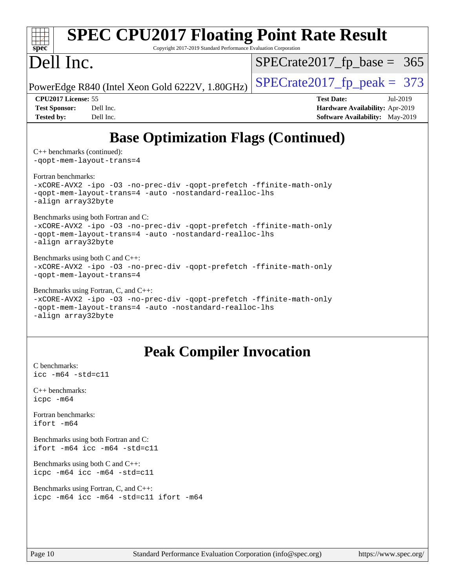| <b>SPEC CPU2017 Floating Point Rate Result</b><br>Copyright 2017-2019 Standard Performance Evaluation Corporation<br>spec <sup>®</sup>                                                       |                                                                                                     |  |  |  |
|----------------------------------------------------------------------------------------------------------------------------------------------------------------------------------------------|-----------------------------------------------------------------------------------------------------|--|--|--|
| Dell Inc.                                                                                                                                                                                    | $SPECrate2017_fp\_base = 365$                                                                       |  |  |  |
| PowerEdge R840 (Intel Xeon Gold 6222V, 1.80GHz)                                                                                                                                              | $SPECTate2017$ _fp_peak = 373                                                                       |  |  |  |
| CPU2017 License: 55<br><b>Test Sponsor:</b><br>Dell Inc.<br>Dell Inc.<br><b>Tested by:</b>                                                                                                   | <b>Test Date:</b><br>Jul-2019<br>Hardware Availability: Apr-2019<br>Software Availability: May-2019 |  |  |  |
| <b>Base Optimization Flags (Continued)</b>                                                                                                                                                   |                                                                                                     |  |  |  |
| $C++$ benchmarks (continued):<br>-gopt-mem-layout-trans=4                                                                                                                                    |                                                                                                     |  |  |  |
| Fortran benchmarks:<br>-xCORE-AVX2 -ipo -03 -no-prec-div -qopt-prefetch -ffinite-math-only<br>-qopt-mem-layout-trans=4 -auto -nostandard-realloc-lhs<br>-align array32byte                   |                                                                                                     |  |  |  |
| Benchmarks using both Fortran and C:<br>-xCORE-AVX2 -ipo -03 -no-prec-div -qopt-prefetch -ffinite-math-only<br>-qopt-mem-layout-trans=4 -auto -nostandard-realloc-lhs<br>-align array32byte  |                                                                                                     |  |  |  |
| Benchmarks using both C and C++:<br>-xCORE-AVX2 -ipo -03 -no-prec-div -qopt-prefetch -ffinite-math-only<br>-qopt-mem-layout-trans=4                                                          |                                                                                                     |  |  |  |
| Benchmarks using Fortran, C, and C++:<br>-xCORE-AVX2 -ipo -03 -no-prec-div -qopt-prefetch -ffinite-math-only<br>-qopt-mem-layout-trans=4 -auto -nostandard-realloc-lhs<br>-align array32byte |                                                                                                     |  |  |  |
| <b>Peak Compiler Invocation</b>                                                                                                                                                              |                                                                                                     |  |  |  |
| C benchmarks:<br>$\text{icc}$ -m64 -std=c11                                                                                                                                                  |                                                                                                     |  |  |  |
| $C++$ benchmarks:<br>icpc -m64                                                                                                                                                               |                                                                                                     |  |  |  |
| Fortran benchmarks:<br>ifort -m64                                                                                                                                                            |                                                                                                     |  |  |  |
|                                                                                                                                                                                              |                                                                                                     |  |  |  |

[Benchmarks using both Fortran and C](http://www.spec.org/auto/cpu2017/Docs/result-fields.html#BenchmarksusingbothFortranandC): [ifort -m64](http://www.spec.org/cpu2017/results/res2019q3/cpu2017-20190805-16493.flags.html#user_CC_FCpeak_intel_ifort_64bit_24f2bb282fbaeffd6157abe4f878425411749daecae9a33200eee2bee2fe76f3b89351d69a8130dd5949958ce389cf37ff59a95e7a40d588e8d3a57e0c3fd751) [icc -m64 -std=c11](http://www.spec.org/cpu2017/results/res2019q3/cpu2017-20190805-16493.flags.html#user_CC_FCpeak_intel_icc_64bit_c11_33ee0cdaae7deeeab2a9725423ba97205ce30f63b9926c2519791662299b76a0318f32ddfffdc46587804de3178b4f9328c46fa7c2b0cd779d7a61945c91cd35)

[Benchmarks using both C and C++](http://www.spec.org/auto/cpu2017/Docs/result-fields.html#BenchmarksusingbothCandCXX): [icpc -m64](http://www.spec.org/cpu2017/results/res2019q3/cpu2017-20190805-16493.flags.html#user_CC_CXXpeak_intel_icpc_64bit_4ecb2543ae3f1412ef961e0650ca070fec7b7afdcd6ed48761b84423119d1bf6bdf5cad15b44d48e7256388bc77273b966e5eb805aefd121eb22e9299b2ec9d9) [icc -m64 -std=c11](http://www.spec.org/cpu2017/results/res2019q3/cpu2017-20190805-16493.flags.html#user_CC_CXXpeak_intel_icc_64bit_c11_33ee0cdaae7deeeab2a9725423ba97205ce30f63b9926c2519791662299b76a0318f32ddfffdc46587804de3178b4f9328c46fa7c2b0cd779d7a61945c91cd35)

[Benchmarks using Fortran, C, and C++:](http://www.spec.org/auto/cpu2017/Docs/result-fields.html#BenchmarksusingFortranCandCXX) [icpc -m64](http://www.spec.org/cpu2017/results/res2019q3/cpu2017-20190805-16493.flags.html#user_CC_CXX_FCpeak_intel_icpc_64bit_4ecb2543ae3f1412ef961e0650ca070fec7b7afdcd6ed48761b84423119d1bf6bdf5cad15b44d48e7256388bc77273b966e5eb805aefd121eb22e9299b2ec9d9) [icc -m64 -std=c11](http://www.spec.org/cpu2017/results/res2019q3/cpu2017-20190805-16493.flags.html#user_CC_CXX_FCpeak_intel_icc_64bit_c11_33ee0cdaae7deeeab2a9725423ba97205ce30f63b9926c2519791662299b76a0318f32ddfffdc46587804de3178b4f9328c46fa7c2b0cd779d7a61945c91cd35) [ifort -m64](http://www.spec.org/cpu2017/results/res2019q3/cpu2017-20190805-16493.flags.html#user_CC_CXX_FCpeak_intel_ifort_64bit_24f2bb282fbaeffd6157abe4f878425411749daecae9a33200eee2bee2fe76f3b89351d69a8130dd5949958ce389cf37ff59a95e7a40d588e8d3a57e0c3fd751)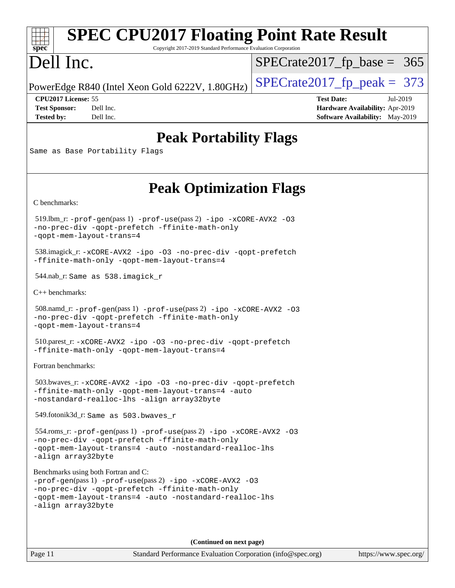#### $\pm\pm\gamma$ **[spec](http://www.spec.org/)**

## **[SPEC CPU2017 Floating Point Rate Result](http://www.spec.org/auto/cpu2017/Docs/result-fields.html#SPECCPU2017FloatingPointRateResult)**

Copyright 2017-2019 Standard Performance Evaluation Corporation

## Dell Inc.

 $SPECTate2017_fp\_base = 365$ 

PowerEdge R840 (Intel Xeon Gold 6222V, 1.80GHz)  $\left|$  [SPECrate2017\\_fp\\_peak =](http://www.spec.org/auto/cpu2017/Docs/result-fields.html#SPECrate2017fppeak) 373

**[Tested by:](http://www.spec.org/auto/cpu2017/Docs/result-fields.html#Testedby)** Dell Inc. Dell Inc. **[Software Availability:](http://www.spec.org/auto/cpu2017/Docs/result-fields.html#SoftwareAvailability)** May-2019

**[CPU2017 License:](http://www.spec.org/auto/cpu2017/Docs/result-fields.html#CPU2017License)** 55 **[Test Date:](http://www.spec.org/auto/cpu2017/Docs/result-fields.html#TestDate)** Jul-2019 **[Test Sponsor:](http://www.spec.org/auto/cpu2017/Docs/result-fields.html#TestSponsor)** Dell Inc. **[Hardware Availability:](http://www.spec.org/auto/cpu2017/Docs/result-fields.html#HardwareAvailability)** Apr-2019

#### **[Peak Portability Flags](http://www.spec.org/auto/cpu2017/Docs/result-fields.html#PeakPortabilityFlags)**

Same as Base Portability Flags

### **[Peak Optimization Flags](http://www.spec.org/auto/cpu2017/Docs/result-fields.html#PeakOptimizationFlags)**

[C benchmarks](http://www.spec.org/auto/cpu2017/Docs/result-fields.html#Cbenchmarks):

 519.lbm\_r: [-prof-gen](http://www.spec.org/cpu2017/results/res2019q3/cpu2017-20190805-16493.flags.html#user_peakPASS1_CFLAGSPASS1_LDFLAGS519_lbm_r_prof_gen_5aa4926d6013ddb2a31985c654b3eb18169fc0c6952a63635c234f711e6e63dd76e94ad52365559451ec499a2cdb89e4dc58ba4c67ef54ca681ffbe1461d6b36)(pass 1) [-prof-use](http://www.spec.org/cpu2017/results/res2019q3/cpu2017-20190805-16493.flags.html#user_peakPASS2_CFLAGSPASS2_LDFLAGS519_lbm_r_prof_use_1a21ceae95f36a2b53c25747139a6c16ca95bd9def2a207b4f0849963b97e94f5260e30a0c64f4bb623698870e679ca08317ef8150905d41bd88c6f78df73f19)(pass 2) [-ipo](http://www.spec.org/cpu2017/results/res2019q3/cpu2017-20190805-16493.flags.html#user_peakPASS1_COPTIMIZEPASS2_COPTIMIZE519_lbm_r_f-ipo) [-xCORE-AVX2](http://www.spec.org/cpu2017/results/res2019q3/cpu2017-20190805-16493.flags.html#user_peakPASS2_COPTIMIZE519_lbm_r_f-xCORE-AVX2) [-O3](http://www.spec.org/cpu2017/results/res2019q3/cpu2017-20190805-16493.flags.html#user_peakPASS1_COPTIMIZEPASS2_COPTIMIZE519_lbm_r_f-O3) [-no-prec-div](http://www.spec.org/cpu2017/results/res2019q3/cpu2017-20190805-16493.flags.html#user_peakPASS1_COPTIMIZEPASS2_COPTIMIZE519_lbm_r_f-no-prec-div) [-qopt-prefetch](http://www.spec.org/cpu2017/results/res2019q3/cpu2017-20190805-16493.flags.html#user_peakPASS1_COPTIMIZEPASS2_COPTIMIZE519_lbm_r_f-qopt-prefetch) [-ffinite-math-only](http://www.spec.org/cpu2017/results/res2019q3/cpu2017-20190805-16493.flags.html#user_peakPASS1_COPTIMIZEPASS2_COPTIMIZE519_lbm_r_f_finite_math_only_cb91587bd2077682c4b38af759c288ed7c732db004271a9512da14a4f8007909a5f1427ecbf1a0fb78ff2a814402c6114ac565ca162485bbcae155b5e4258871) [-qopt-mem-layout-trans=4](http://www.spec.org/cpu2017/results/res2019q3/cpu2017-20190805-16493.flags.html#user_peakPASS1_COPTIMIZEPASS2_COPTIMIZE519_lbm_r_f-qopt-mem-layout-trans_fa39e755916c150a61361b7846f310bcdf6f04e385ef281cadf3647acec3f0ae266d1a1d22d972a7087a248fd4e6ca390a3634700869573d231a252c784941a8)

 538.imagick\_r: [-xCORE-AVX2](http://www.spec.org/cpu2017/results/res2019q3/cpu2017-20190805-16493.flags.html#user_peakCOPTIMIZE538_imagick_r_f-xCORE-AVX2) [-ipo](http://www.spec.org/cpu2017/results/res2019q3/cpu2017-20190805-16493.flags.html#user_peakCOPTIMIZE538_imagick_r_f-ipo) [-O3](http://www.spec.org/cpu2017/results/res2019q3/cpu2017-20190805-16493.flags.html#user_peakCOPTIMIZE538_imagick_r_f-O3) [-no-prec-div](http://www.spec.org/cpu2017/results/res2019q3/cpu2017-20190805-16493.flags.html#user_peakCOPTIMIZE538_imagick_r_f-no-prec-div) [-qopt-prefetch](http://www.spec.org/cpu2017/results/res2019q3/cpu2017-20190805-16493.flags.html#user_peakCOPTIMIZE538_imagick_r_f-qopt-prefetch) [-ffinite-math-only](http://www.spec.org/cpu2017/results/res2019q3/cpu2017-20190805-16493.flags.html#user_peakCOPTIMIZE538_imagick_r_f_finite_math_only_cb91587bd2077682c4b38af759c288ed7c732db004271a9512da14a4f8007909a5f1427ecbf1a0fb78ff2a814402c6114ac565ca162485bbcae155b5e4258871) [-qopt-mem-layout-trans=4](http://www.spec.org/cpu2017/results/res2019q3/cpu2017-20190805-16493.flags.html#user_peakCOPTIMIZE538_imagick_r_f-qopt-mem-layout-trans_fa39e755916c150a61361b7846f310bcdf6f04e385ef281cadf3647acec3f0ae266d1a1d22d972a7087a248fd4e6ca390a3634700869573d231a252c784941a8)

544.nab\_r: Same as 538.imagick\_r

[C++ benchmarks:](http://www.spec.org/auto/cpu2017/Docs/result-fields.html#CXXbenchmarks)

```
 508.namd_r: -prof-gen(pass 1) -prof-use(pass 2) -ipo -xCORE-AVX2 -O3
-no-prec-div -qopt-prefetch -ffinite-math-only
-qopt-mem-layout-trans=4
```
 510.parest\_r: [-xCORE-AVX2](http://www.spec.org/cpu2017/results/res2019q3/cpu2017-20190805-16493.flags.html#user_peakCXXOPTIMIZE510_parest_r_f-xCORE-AVX2) [-ipo](http://www.spec.org/cpu2017/results/res2019q3/cpu2017-20190805-16493.flags.html#user_peakCXXOPTIMIZE510_parest_r_f-ipo) [-O3](http://www.spec.org/cpu2017/results/res2019q3/cpu2017-20190805-16493.flags.html#user_peakCXXOPTIMIZE510_parest_r_f-O3) [-no-prec-div](http://www.spec.org/cpu2017/results/res2019q3/cpu2017-20190805-16493.flags.html#user_peakCXXOPTIMIZE510_parest_r_f-no-prec-div) [-qopt-prefetch](http://www.spec.org/cpu2017/results/res2019q3/cpu2017-20190805-16493.flags.html#user_peakCXXOPTIMIZE510_parest_r_f-qopt-prefetch) [-ffinite-math-only](http://www.spec.org/cpu2017/results/res2019q3/cpu2017-20190805-16493.flags.html#user_peakCXXOPTIMIZE510_parest_r_f_finite_math_only_cb91587bd2077682c4b38af759c288ed7c732db004271a9512da14a4f8007909a5f1427ecbf1a0fb78ff2a814402c6114ac565ca162485bbcae155b5e4258871) [-qopt-mem-layout-trans=4](http://www.spec.org/cpu2017/results/res2019q3/cpu2017-20190805-16493.flags.html#user_peakCXXOPTIMIZE510_parest_r_f-qopt-mem-layout-trans_fa39e755916c150a61361b7846f310bcdf6f04e385ef281cadf3647acec3f0ae266d1a1d22d972a7087a248fd4e6ca390a3634700869573d231a252c784941a8)

[Fortran benchmarks](http://www.spec.org/auto/cpu2017/Docs/result-fields.html#Fortranbenchmarks):

 503.bwaves\_r: [-xCORE-AVX2](http://www.spec.org/cpu2017/results/res2019q3/cpu2017-20190805-16493.flags.html#user_peakFOPTIMIZE503_bwaves_r_f-xCORE-AVX2) [-ipo](http://www.spec.org/cpu2017/results/res2019q3/cpu2017-20190805-16493.flags.html#user_peakFOPTIMIZE503_bwaves_r_f-ipo) [-O3](http://www.spec.org/cpu2017/results/res2019q3/cpu2017-20190805-16493.flags.html#user_peakFOPTIMIZE503_bwaves_r_f-O3) [-no-prec-div](http://www.spec.org/cpu2017/results/res2019q3/cpu2017-20190805-16493.flags.html#user_peakFOPTIMIZE503_bwaves_r_f-no-prec-div) [-qopt-prefetch](http://www.spec.org/cpu2017/results/res2019q3/cpu2017-20190805-16493.flags.html#user_peakFOPTIMIZE503_bwaves_r_f-qopt-prefetch) [-ffinite-math-only](http://www.spec.org/cpu2017/results/res2019q3/cpu2017-20190805-16493.flags.html#user_peakFOPTIMIZE503_bwaves_r_f_finite_math_only_cb91587bd2077682c4b38af759c288ed7c732db004271a9512da14a4f8007909a5f1427ecbf1a0fb78ff2a814402c6114ac565ca162485bbcae155b5e4258871) [-qopt-mem-layout-trans=4](http://www.spec.org/cpu2017/results/res2019q3/cpu2017-20190805-16493.flags.html#user_peakFOPTIMIZE503_bwaves_r_f-qopt-mem-layout-trans_fa39e755916c150a61361b7846f310bcdf6f04e385ef281cadf3647acec3f0ae266d1a1d22d972a7087a248fd4e6ca390a3634700869573d231a252c784941a8) [-auto](http://www.spec.org/cpu2017/results/res2019q3/cpu2017-20190805-16493.flags.html#user_peakFOPTIMIZE503_bwaves_r_f-auto) [-nostandard-realloc-lhs](http://www.spec.org/cpu2017/results/res2019q3/cpu2017-20190805-16493.flags.html#user_peakEXTRA_FOPTIMIZE503_bwaves_r_f_2003_std_realloc_82b4557e90729c0f113870c07e44d33d6f5a304b4f63d4c15d2d0f1fab99f5daaed73bdb9275d9ae411527f28b936061aa8b9c8f2d63842963b95c9dd6426b8a) [-align array32byte](http://www.spec.org/cpu2017/results/res2019q3/cpu2017-20190805-16493.flags.html#user_peakEXTRA_FOPTIMIZE503_bwaves_r_align_array32byte_b982fe038af199962ba9a80c053b8342c548c85b40b8e86eb3cc33dee0d7986a4af373ac2d51c3f7cf710a18d62fdce2948f201cd044323541f22fc0fffc51b6)

549.fotonik3d\_r: Same as 503.bwaves\_r

 554.roms\_r: [-prof-gen](http://www.spec.org/cpu2017/results/res2019q3/cpu2017-20190805-16493.flags.html#user_peakPASS1_FFLAGSPASS1_LDFLAGS554_roms_r_prof_gen_5aa4926d6013ddb2a31985c654b3eb18169fc0c6952a63635c234f711e6e63dd76e94ad52365559451ec499a2cdb89e4dc58ba4c67ef54ca681ffbe1461d6b36)(pass 1) [-prof-use](http://www.spec.org/cpu2017/results/res2019q3/cpu2017-20190805-16493.flags.html#user_peakPASS2_FFLAGSPASS2_LDFLAGS554_roms_r_prof_use_1a21ceae95f36a2b53c25747139a6c16ca95bd9def2a207b4f0849963b97e94f5260e30a0c64f4bb623698870e679ca08317ef8150905d41bd88c6f78df73f19)(pass 2) [-ipo](http://www.spec.org/cpu2017/results/res2019q3/cpu2017-20190805-16493.flags.html#user_peakPASS1_FOPTIMIZEPASS2_FOPTIMIZE554_roms_r_f-ipo) [-xCORE-AVX2](http://www.spec.org/cpu2017/results/res2019q3/cpu2017-20190805-16493.flags.html#user_peakPASS2_FOPTIMIZE554_roms_r_f-xCORE-AVX2) [-O3](http://www.spec.org/cpu2017/results/res2019q3/cpu2017-20190805-16493.flags.html#user_peakPASS1_FOPTIMIZEPASS2_FOPTIMIZE554_roms_r_f-O3) [-no-prec-div](http://www.spec.org/cpu2017/results/res2019q3/cpu2017-20190805-16493.flags.html#user_peakPASS1_FOPTIMIZEPASS2_FOPTIMIZE554_roms_r_f-no-prec-div) [-qopt-prefetch](http://www.spec.org/cpu2017/results/res2019q3/cpu2017-20190805-16493.flags.html#user_peakPASS1_FOPTIMIZEPASS2_FOPTIMIZE554_roms_r_f-qopt-prefetch) [-ffinite-math-only](http://www.spec.org/cpu2017/results/res2019q3/cpu2017-20190805-16493.flags.html#user_peakPASS1_FOPTIMIZEPASS2_FOPTIMIZE554_roms_r_f_finite_math_only_cb91587bd2077682c4b38af759c288ed7c732db004271a9512da14a4f8007909a5f1427ecbf1a0fb78ff2a814402c6114ac565ca162485bbcae155b5e4258871) [-qopt-mem-layout-trans=4](http://www.spec.org/cpu2017/results/res2019q3/cpu2017-20190805-16493.flags.html#user_peakPASS1_FOPTIMIZEPASS2_FOPTIMIZE554_roms_r_f-qopt-mem-layout-trans_fa39e755916c150a61361b7846f310bcdf6f04e385ef281cadf3647acec3f0ae266d1a1d22d972a7087a248fd4e6ca390a3634700869573d231a252c784941a8) [-auto](http://www.spec.org/cpu2017/results/res2019q3/cpu2017-20190805-16493.flags.html#user_peakPASS2_FOPTIMIZE554_roms_r_f-auto) [-nostandard-realloc-lhs](http://www.spec.org/cpu2017/results/res2019q3/cpu2017-20190805-16493.flags.html#user_peakEXTRA_FOPTIMIZE554_roms_r_f_2003_std_realloc_82b4557e90729c0f113870c07e44d33d6f5a304b4f63d4c15d2d0f1fab99f5daaed73bdb9275d9ae411527f28b936061aa8b9c8f2d63842963b95c9dd6426b8a) [-align array32byte](http://www.spec.org/cpu2017/results/res2019q3/cpu2017-20190805-16493.flags.html#user_peakEXTRA_FOPTIMIZE554_roms_r_align_array32byte_b982fe038af199962ba9a80c053b8342c548c85b40b8e86eb3cc33dee0d7986a4af373ac2d51c3f7cf710a18d62fdce2948f201cd044323541f22fc0fffc51b6)

[Benchmarks using both Fortran and C](http://www.spec.org/auto/cpu2017/Docs/result-fields.html#BenchmarksusingbothFortranandC):

| $-prof-qen(pass 1) -prof-use(pass 2) -ipo -xCORE-AVX2 -03$ |
|------------------------------------------------------------|
| -no-prec-div -qopt-prefetch -ffinite-math-only             |
| -gopt-mem-layout-trans=4 -auto -nostandard-realloc-lhs     |
| -align array32byte                                         |

**(Continued on next page)**